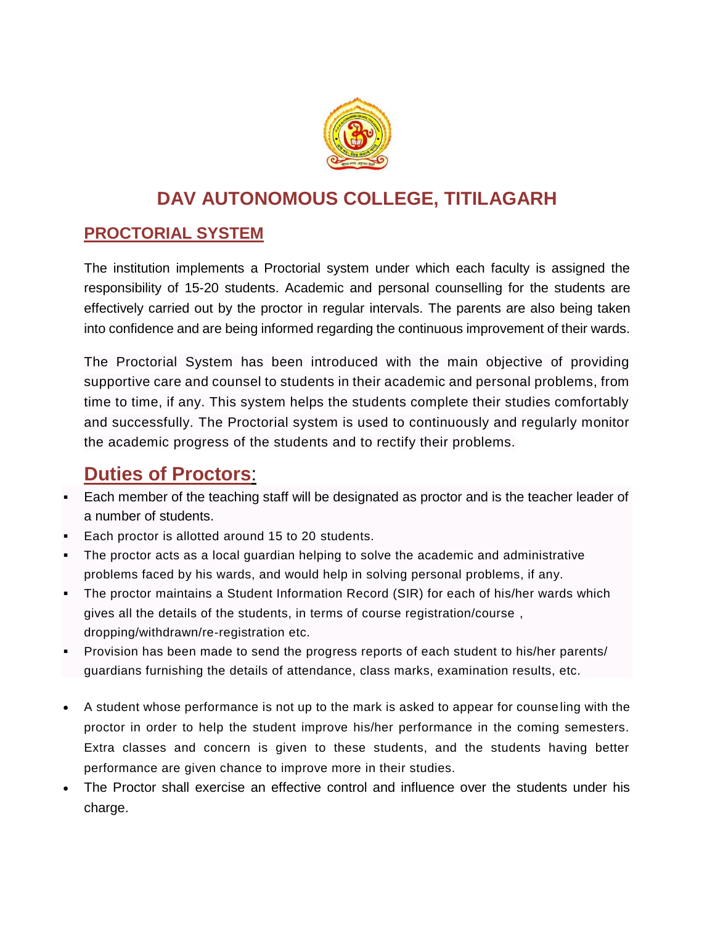

## **DAV AUTONOMOUS COLLEGE, TITILAGARH**

## **PROCTORIAL SYSTEM**

The institution implements a Proctorial system under which each faculty is assigned the responsibility of 15-20 students. Academic and personal counselling for the students are effectively carried out by the proctor in regular intervals. The parents are also being taken into confidence and are being informed regarding the continuous improvement of their wards.

The Proctorial System has been introduced with the main objective of providing supportive care and counsel to students in their academic and personal problems, from time to time, if any. This system helps the students complete their studies comfortably and successfully. The Proctorial system is used to continuously and regularly monitor the academic progress of the students and to rectify their problems.

## **Duties of Proctors**:

- Each member of the teaching staff will be designated as proctor and is the teacher leader of a number of students.
- Each proctor is allotted around 15 to 20 students.
- The proctor acts as a local guardian helping to solve the academic and administrative problems faced by his wards, and would help in solving personal problems, if any.
- The proctor maintains a Student Information Record (SIR) for each of his/her wards which gives all the details of the students, in terms of course registration/course , dropping/withdrawn/re-registration etc.
- Provision has been made to send the progress reports of each student to his/her parents/ guardians furnishing the details of attendance, class marks, examination results, etc.
- A student whose performance is not up to the mark is asked to appear for counseling with the proctor in order to help the student improve his/her performance in the coming semesters. Extra classes and concern is given to these students, and the students having better performance are given chance to improve more in their studies.
- The Proctor shall exercise an effective control and influence over the students under his charge.